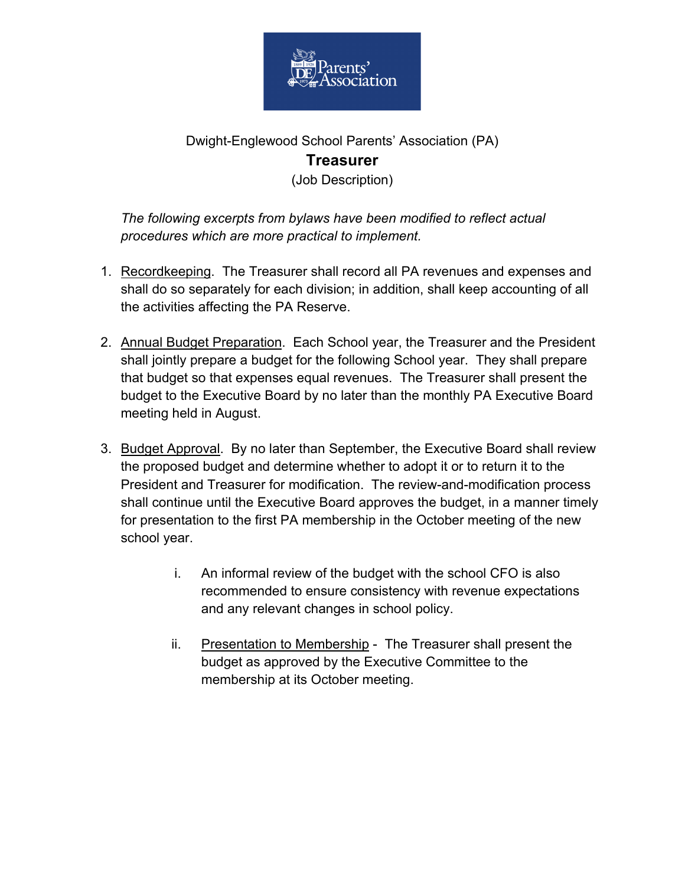

## Dwight-Englewood School Parents' Association (PA) **Treasurer** (Job Description)

*The following excerpts from bylaws have been modified to reflect actual procedures which are more practical to implement.*

- 1. Recordkeeping. The Treasurer shall record all PA revenues and expenses and shall do so separately for each division; in addition, shall keep accounting of all the activities affecting the PA Reserve.
- 2. Annual Budget Preparation. Each School year, the Treasurer and the President shall jointly prepare a budget for the following School year. They shall prepare that budget so that expenses equal revenues. The Treasurer shall present the budget to the Executive Board by no later than the monthly PA Executive Board meeting held in August.
- 3. Budget Approval. By no later than September, the Executive Board shall review the proposed budget and determine whether to adopt it or to return it to the President and Treasurer for modification. The review-and-modification process shall continue until the Executive Board approves the budget, in a manner timely for presentation to the first PA membership in the October meeting of the new school year.
	- i. An informal review of the budget with the school CFO is also recommended to ensure consistency with revenue expectations and any relevant changes in school policy.
	- ii. Presentation to Membership The Treasurer shall present the budget as approved by the Executive Committee to the membership at its October meeting.